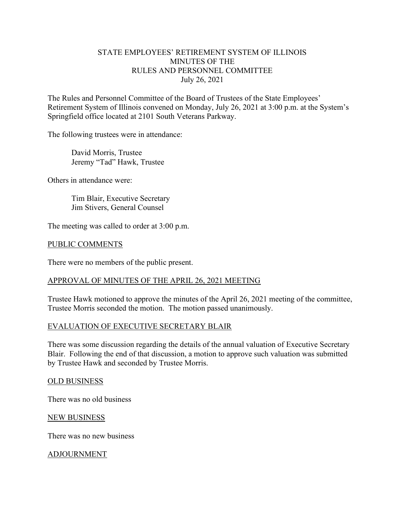# STATE EMPLOYEES' RETIREMENT SYSTEM OF ILLINOIS MINUTES OF THE RULES AND PERSONNEL COMMITTEE July 26, 2021

The Rules and Personnel Committee of the Board of Trustees of the State Employees' Retirement System of Illinois convened on Monday, July 26, 2021 at 3:00 p.m. at the System's Springfield office located at 2101 South Veterans Parkway.

The following trustees were in attendance:

 David Morris, Trustee Jeremy "Tad" Hawk, Trustee

Others in attendance were:

 Tim Blair, Executive Secretary Jim Stivers, General Counsel

The meeting was called to order at 3:00 p.m.

### PUBLIC COMMENTS

There were no members of the public present.

## APPROVAL OF MINUTES OF THE APRIL 26, 2021 MEETING

Trustee Hawk motioned to approve the minutes of the April 26, 2021 meeting of the committee, Trustee Morris seconded the motion. The motion passed unanimously.

#### EVALUATION OF EXECUTIVE SECRETARY BLAIR

There was some discussion regarding the details of the annual valuation of Executive Secretary Blair. Following the end of that discussion, a motion to approve such valuation was submitted by Trustee Hawk and seconded by Trustee Morris.

#### OLD BUSINESS

There was no old business

#### NEW BUSINESS

There was no new business

ADJOURNMENT